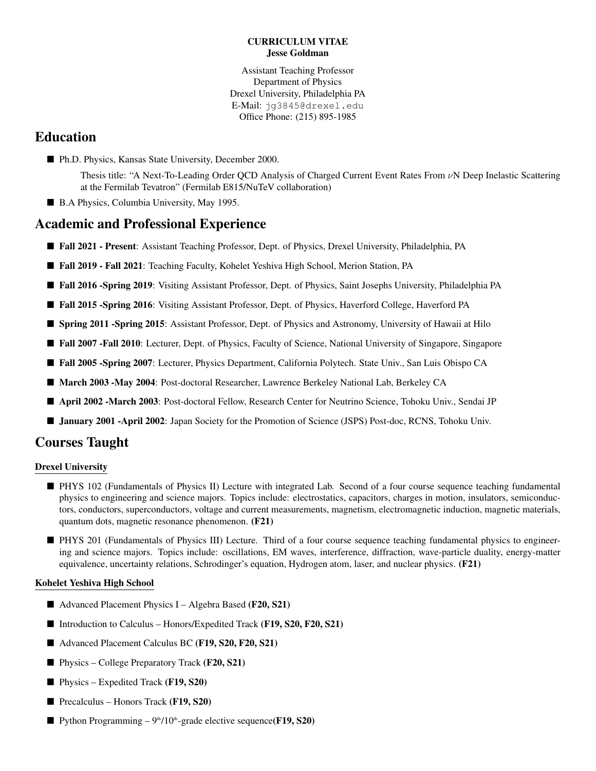#### CURRICULUM VITAE Jesse Goldman

Assistant Teaching Professor Department of Physics Drexel University, Philadelphia PA E-Mail: jg3845@drexel.edu Office Phone: (215) 895-1985

# Education

- Ph.D. Physics, Kansas State University, December 2000.
	- Thesis title: "A Next-To-Leading Order QCD Analysis of Charged Current Event Rates From νN Deep Inelastic Scattering at the Fermilab Tevatron" (Fermilab E815/NuTeV collaboration)
- B.A Physics, Columbia University, May 1995.

# Academic and Professional Experience

- Fall 2021 Present: Assistant Teaching Professor, Dept. of Physics, Drexel University, Philadelphia, PA
- Fall 2019 Fall 2021: Teaching Faculty, Kohelet Yeshiva High School, Merion Station, PA
- Fall 2016 -Spring 2019: Visiting Assistant Professor, Dept. of Physics, Saint Josephs University, Philadelphia PA
- Fall 2015 -Spring 2016: Visiting Assistant Professor, Dept. of Physics, Haverford College, Haverford PA
- **Spring 2011 -Spring 2015:** Assistant Professor, Dept. of Physics and Astronomy, University of Hawaii at Hilo
- **Fall 2007 -Fall 2010**: Lecturer, Dept. of Physics, Faculty of Science, National University of Singapore, Singapore
- Fall 2005 -Spring 2007: Lecturer, Physics Department, California Polytech. State Univ., San Luis Obispo CA
- March 2003 -May 2004: Post-doctoral Researcher, Lawrence Berkeley National Lab, Berkeley CA
- April 2002 -March 2003: Post-doctoral Fellow, Research Center for Neutrino Science, Tohoku Univ., Sendai JP
- **January 2001 -April 2002**: Japan Society for the Promotion of Science (JSPS) Post-doc, RCNS, Tohoku Univ.

## Courses Taught

#### Drexel University

- PHYS 102 (Fundamentals of Physics II) Lecture with integrated Lab. Second of a four course sequence teaching fundamental physics to engineering and science majors. Topics include: electrostatics, capacitors, charges in motion, insulators, semiconductors, conductors, superconductors, voltage and current measurements, magnetism, electromagnetic induction, magnetic materials, quantum dots, magnetic resonance phenomenon. (F21)
- PHYS 201 (Fundamentals of Physics III) Lecture. Third of a four course sequence teaching fundamental physics to engineering and science majors. Topics include: oscillations, EM waves, interference, diffraction, wave-particle duality, energy-matter equivalence, uncertainty relations, Schrodinger's equation, Hydrogen atom, laser, and nuclear physics. (F21)

#### Kohelet Yeshiva High School

- Advanced Placement Physics I Algebra Based (F20, S21)
- Introduction to Calculus Honors/Expedited Track (F19, S20, F20, S21)
- Advanced Placement Calculus BC (F19, S20, F20, S21)
- **Physics College Preparatory Track (F20, S21)**
- **Physics Expedited Track (F19, S20)**
- **Precalculus Honors Track (F19, S20)**
- **Python Programming 9th**/10<sup>th</sup>-grade elective sequence(**F19**, **S20**)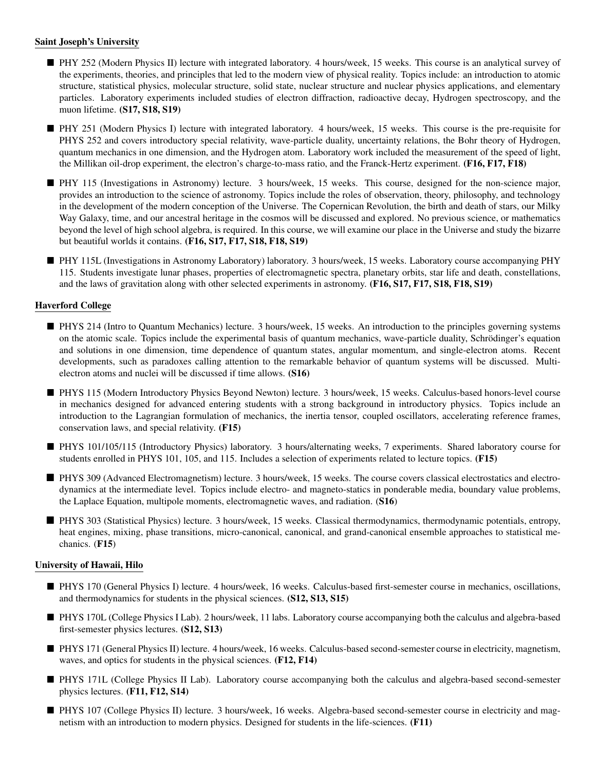#### Saint Joseph's University

- PHY 252 (Modern Physics II) lecture with integrated laboratory. 4 hours/week, 15 weeks. This course is an analytical survey of the experiments, theories, and principles that led to the modern view of physical reality. Topics include: an introduction to atomic structure, statistical physics, molecular structure, solid state, nuclear structure and nuclear physics applications, and elementary particles. Laboratory experiments included studies of electron diffraction, radioactive decay, Hydrogen spectroscopy, and the muon lifetime. (S17, S18, S19)
- PHY 251 (Modern Physics I) lecture with integrated laboratory. 4 hours/week, 15 weeks. This course is the pre-requisite for PHYS 252 and covers introductory special relativity, wave-particle duality, uncertainty relations, the Bohr theory of Hydrogen, quantum mechanics in one dimension, and the Hydrogen atom. Laboratory work included the measurement of the speed of light, the Millikan oil-drop experiment, the electron's charge-to-mass ratio, and the Franck-Hertz experiment. (F16, F17, F18)
- PHY 115 (Investigations in Astronomy) lecture. 3 hours/week, 15 weeks. This course, designed for the non-science major, provides an introduction to the science of astronomy. Topics include the roles of observation, theory, philosophy, and technology in the development of the modern conception of the Universe. The Copernican Revolution, the birth and death of stars, our Milky Way Galaxy, time, and our ancestral heritage in the cosmos will be discussed and explored. No previous science, or mathematics beyond the level of high school algebra, is required. In this course, we will examine our place in the Universe and study the bizarre but beautiful worlds it contains. (F16, S17, F17, S18, F18, S19)
- PHY 115L (Investigations in Astronomy Laboratory) laboratory. 3 hours/week, 15 weeks. Laboratory course accompanying PHY 115. Students investigate lunar phases, properties of electromagnetic spectra, planetary orbits, star life and death, constellations, and the laws of gravitation along with other selected experiments in astronomy. (F16, S17, F17, S18, F18, S19)

#### Haverford College

- **PHYS 214 (Intro to Quantum Mechanics) lecture. 3 hours/week, 15 weeks. An introduction to the principles governing systems** on the atomic scale. Topics include the experimental basis of quantum mechanics, wave-particle duality, Schrödinger's equation and solutions in one dimension, time dependence of quantum states, angular momentum, and single-electron atoms. Recent developments, such as paradoxes calling attention to the remarkable behavior of quantum systems will be discussed. Multielectron atoms and nuclei will be discussed if time allows. (S16)
- PHYS 115 (Modern Introductory Physics Beyond Newton) lecture. 3 hours/week, 15 weeks. Calculus-based honors-level course in mechanics designed for advanced entering students with a strong background in introductory physics. Topics include an introduction to the Lagrangian formulation of mechanics, the inertia tensor, coupled oscillators, accelerating reference frames, conservation laws, and special relativity. (F15)
- PHYS 101/105/115 (Introductory Physics) laboratory. 3 hours/alternating weeks, 7 experiments. Shared laboratory course for students enrolled in PHYS 101, 105, and 115. Includes a selection of experiments related to lecture topics. (F15)
- PHYS 309 (Advanced Electromagnetism) lecture. 3 hours/week, 15 weeks. The course covers classical electrostatics and electrodynamics at the intermediate level. Topics include electro- and magneto-statics in ponderable media, boundary value problems, the Laplace Equation, multipole moments, electromagnetic waves, and radiation. (S16)
- PHYS 303 (Statistical Physics) lecture. 3 hours/week, 15 weeks. Classical thermodynamics, thermodynamic potentials, entropy, heat engines, mixing, phase transitions, micro-canonical, canonical, and grand-canonical ensemble approaches to statistical mechanics. (F15)

#### University of Hawaii, Hilo

- PHYS 170 (General Physics I) lecture. 4 hours/week, 16 weeks. Calculus-based first-semester course in mechanics, oscillations, and thermodynamics for students in the physical sciences. (S12, S13, S15)
- PHYS 170L (College Physics I Lab). 2 hours/week, 11 labs. Laboratory course accompanying both the calculus and algebra-based first-semester physics lectures. (S12, S13)
- PHYS 171 (General Physics II) lecture. 4 hours/week, 16 weeks. Calculus-based second-semester course in electricity, magnetism, waves, and optics for students in the physical sciences. (F12, F14)
- PHYS 171L (College Physics II Lab). Laboratory course accompanying both the calculus and algebra-based second-semester physics lectures. (F11, F12, S14)
- PHYS 107 (College Physics II) lecture. 3 hours/week, 16 weeks. Algebra-based second-semester course in electricity and magnetism with an introduction to modern physics. Designed for students in the life-sciences. (F11)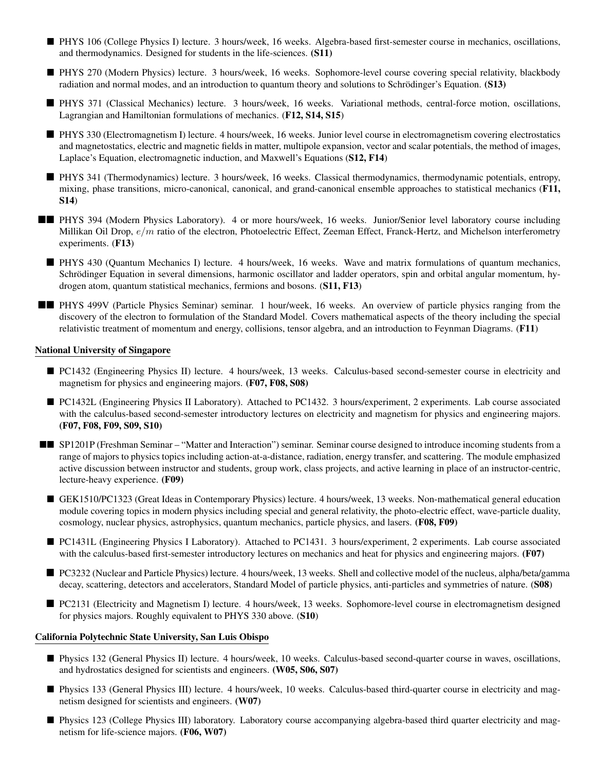- PHYS 106 (College Physics I) lecture. 3 hours/week, 16 weeks. Algebra-based first-semester course in mechanics, oscillations, and thermodynamics. Designed for students in the life-sciences. (S11)
- PHYS 270 (Modern Physics) lecture. 3 hours/week, 16 weeks. Sophomore-level course covering special relativity, blackbody radiation and normal modes, and an introduction to quantum theory and solutions to Schrödinger's Equation. (S13)
- PHYS 371 (Classical Mechanics) lecture. 3 hours/week, 16 weeks. Variational methods, central-force motion, oscillations, Lagrangian and Hamiltonian formulations of mechanics. (F12, S14, S15)
- PHYS 330 (Electromagnetism I) lecture. 4 hours/week, 16 weeks. Junior level course in electromagnetism covering electrostatics and magnetostatics, electric and magnetic fields in matter, multipole expansion, vector and scalar potentials, the method of images, Laplace's Equation, electromagnetic induction, and Maxwell's Equations (S12, F14)
- PHYS 341 (Thermodynamics) lecture. 3 hours/week, 16 weeks. Classical thermodynamics, thermodynamic potentials, entropy, mixing, phase transitions, micro-canonical, canonical, and grand-canonical ensemble approaches to statistical mechanics (F11, S14)
- **PHYS** 394 (Modern Physics Laboratory). 4 or more hours/week, 16 weeks. Junior/Senior level laboratory course including Millikan Oil Drop,  $e/m$  ratio of the electron, Photoelectric Effect, Zeeman Effect, Franck-Hertz, and Michelson interferometry experiments. (F13)
	- PHYS 430 (Quantum Mechanics I) lecture. 4 hours/week, 16 weeks. Wave and matrix formulations of quantum mechanics, Schrödinger Equation in several dimensions, harmonic oscillator and ladder operators, spin and orbital angular momentum, hydrogen atom, quantum statistical mechanics, fermions and bosons. (S11, F13)
- **PHYS 499V** (Particle Physics Seminar) seminar. 1 hour/week, 16 weeks. An overview of particle physics ranging from the discovery of the electron to formulation of the Standard Model. Covers mathematical aspects of the theory including the special relativistic treatment of momentum and energy, collisions, tensor algebra, and an introduction to Feynman Diagrams. (F11)

#### National University of Singapore

- PC1432 (Engineering Physics II) lecture. 4 hours/week, 13 weeks. Calculus-based second-semester course in electricity and magnetism for physics and engineering majors. (F07, F08, S08)
- PC1432L (Engineering Physics II Laboratory). Attached to PC1432. 3 hours/experiment, 2 experiments. Lab course associated with the calculus-based second-semester introductory lectures on electricity and magnetism for physics and engineering majors. (F07, F08, F09, S09, S10)
- SP1201P (Freshman Seminar "Matter and Interaction") seminar. Seminar course designed to introduce incoming students from a range of majors to physics topics including action-at-a-distance, radiation, energy transfer, and scattering. The module emphasized active discussion between instructor and students, group work, class projects, and active learning in place of an instructor-centric, lecture-heavy experience. (F09)
	- GEK1510/PC1323 (Great Ideas in Contemporary Physics) lecture. 4 hours/week, 13 weeks. Non-mathematical general education module covering topics in modern physics including special and general relativity, the photo-electric effect, wave-particle duality, cosmology, nuclear physics, astrophysics, quantum mechanics, particle physics, and lasers. (F08, F09)
	- PC1431L (Engineering Physics I Laboratory). Attached to PC1431. 3 hours/experiment, 2 experiments. Lab course associated with the calculus-based first-semester introductory lectures on mechanics and heat for physics and engineering majors. (F07)
	- PC3232 (Nuclear and Particle Physics) lecture. 4 hours/week, 13 weeks. Shell and collective model of the nucleus, alpha/beta/gamma decay, scattering, detectors and accelerators, Standard Model of particle physics, anti-particles and symmetries of nature. (S08)
	- PC2131 (Electricity and Magnetism I) lecture. 4 hours/week, 13 weeks. Sophomore-level course in electromagnetism designed for physics majors. Roughly equivalent to PHYS 330 above. (S10)

#### California Polytechnic State University, San Luis Obispo

- Physics 132 (General Physics II) lecture. 4 hours/week, 10 weeks. Calculus-based second-quarter course in waves, oscillations, and hydrostatics designed for scientists and engineers. (W05, S06, S07)
- Physics 133 (General Physics III) lecture. 4 hours/week, 10 weeks. Calculus-based third-quarter course in electricity and magnetism designed for scientists and engineers. (W07)
- Physics 123 (College Physics III) laboratory. Laboratory course accompanying algebra-based third quarter electricity and magnetism for life-science majors. (F06, W07)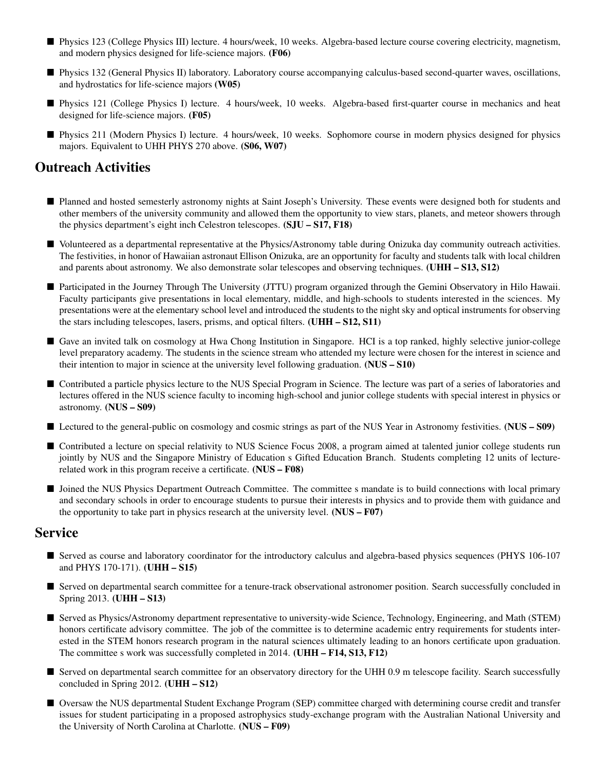- Physics 123 (College Physics III) lecture. 4 hours/week, 10 weeks. Algebra-based lecture course covering electricity, magnetism, and modern physics designed for life-science majors. (F06)
- Physics 132 (General Physics II) laboratory. Laboratory course accompanying calculus-based second-quarter waves, oscillations, and hydrostatics for life-science majors (W05)
- Physics 121 (College Physics I) lecture. 4 hours/week, 10 weeks. Algebra-based first-quarter course in mechanics and heat designed for life-science majors. (F05)
- Physics 211 (Modern Physics I) lecture. 4 hours/week, 10 weeks. Sophomore course in modern physics designed for physics majors. Equivalent to UHH PHYS 270 above. (S06, W07)

# Outreach Activities

- Planned and hosted semesterly astronomy nights at Saint Joseph's University. These events were designed both for students and other members of the university community and allowed them the opportunity to view stars, planets, and meteor showers through the physics department's eight inch Celestron telescopes. (SJU – S17, F18)
- Volunteered as a departmental representative at the Physics/Astronomy table during Onizuka day community outreach activities. The festivities, in honor of Hawaiian astronaut Ellison Onizuka, are an opportunity for faculty and students talk with local children and parents about astronomy. We also demonstrate solar telescopes and observing techniques. (UHH – S13, S12)
- Participated in the Journey Through The University (JTTU) program organized through the Gemini Observatory in Hilo Hawaii. Faculty participants give presentations in local elementary, middle, and high-schools to students interested in the sciences. My presentations were at the elementary school level and introduced the students to the night sky and optical instruments for observing the stars including telescopes, lasers, prisms, and optical filters. (UHH – S12, S11)
- Gave an invited talk on cosmology at Hwa Chong Institution in Singapore. HCI is a top ranked, highly selective junior-college level preparatory academy. The students in the science stream who attended my lecture were chosen for the interest in science and their intention to major in science at the university level following graduation. (NUS – S10)
- Contributed a particle physics lecture to the NUS Special Program in Science. The lecture was part of a series of laboratories and lectures offered in the NUS science faculty to incoming high-school and junior college students with special interest in physics or astronomy. (NUS – S09)
- Lectured to the general-public on cosmology and cosmic strings as part of the NUS Year in Astronomy festivities. (NUS S09)
- Contributed a lecture on special relativity to NUS Science Focus 2008, a program aimed at talented junior college students run jointly by NUS and the Singapore Ministry of Education s Gifted Education Branch. Students completing 12 units of lecturerelated work in this program receive a certificate. (NUS – F08)
- I Joined the NUS Physics Department Outreach Committee. The committee s mandate is to build connections with local primary and secondary schools in order to encourage students to pursue their interests in physics and to provide them with guidance and the opportunity to take part in physics research at the university level.  $(NUS - F07)$

### **Service**

- Served as course and laboratory coordinator for the introductory calculus and algebra-based physics sequences (PHYS 106-107 and PHYS 170-171). (UHH – S15)
- Served on departmental search committee for a tenure-track observational astronomer position. Search successfully concluded in Spring 2013. (UHH – S13)
- Served as Physics/Astronomy department representative to university-wide Science, Technology, Engineering, and Math (STEM) honors certificate advisory committee. The job of the committee is to determine academic entry requirements for students interested in the STEM honors research program in the natural sciences ultimately leading to an honors certificate upon graduation. The committee s work was successfully completed in 2014. (UHH – F14, S13, F12)
- Served on departmental search committee for an observatory directory for the UHH 0.9 m telescope facility. Search successfully concluded in Spring 2012. (UHH – S12)
- Oversaw the NUS departmental Student Exchange Program (SEP) committee charged with determining course credit and transfer issues for student participating in a proposed astrophysics study-exchange program with the Australian National University and the University of North Carolina at Charlotte. (NUS – F09)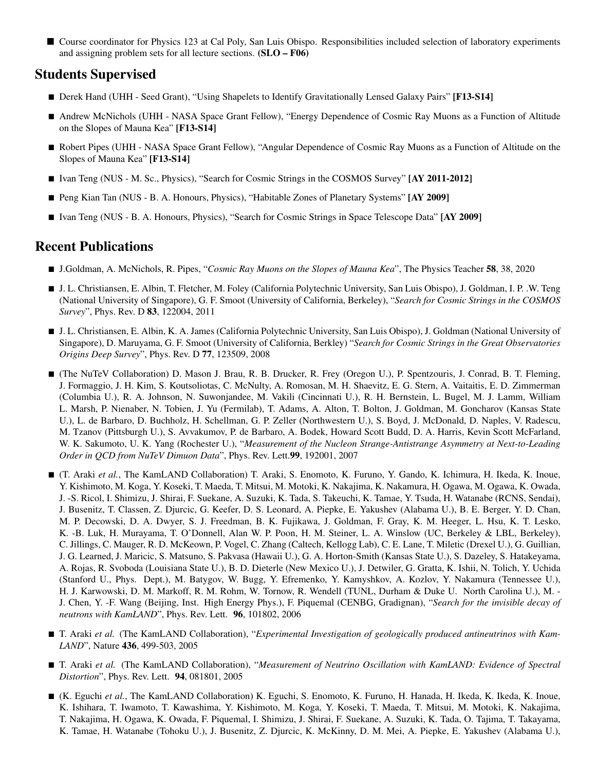■ Course coordinator for Physics 123 at Cal Poly, San Luis Obispo. Responsibilities included selection of laboratory experiments and assigning problem sets for all lecture sections. (SLO – F06)

## Students Supervised

- Derek Hand (UHH Seed Grant), "Using Shapelets to Identify Gravitationally Lensed Galaxy Pairs" [F13-S14]
- Andrew McNichols (UHH NASA Space Grant Fellow), "Energy Dependence of Cosmic Ray Muons as a Function of Altitude on the Slopes of Mauna Kea" [F13-S14]
- Robert Pipes (UHH NASA Space Grant Fellow), "Angular Dependence of Cosmic Ray Muons as a Function of Altitude on the Slopes of Mauna Kea" [F13-S14]
- Ivan Teng (NUS M. Sc., Physics), "Search for Cosmic Strings in the COSMOS Survey" [AY 2011-2012]
- Peng Kian Tan (NUS B. A. Honours, Physics), "Habitable Zones of Planetary Systems" [AY 2009]
- Ivan Teng (NUS B. A. Honours, Physics), "Search for Cosmic Strings in Space Telescope Data" [AY 2009]

### Recent Publications

- J.Goldman, A. McNichols, R. Pipes, "*Cosmic Ray Muons on the Slopes of Mauna Kea*", The Physics Teacher 58, 38, 2020
- J. L. Christiansen, E. Albin, T. Fletcher, M. Foley (California Polytechnic University, San Luis Obispo), J. Goldman, I. P. .W. Teng (National University of Singapore), G. F. Smoot (University of California, Berkeley), "*Search for Cosmic Strings in the COSMOS Survey*", Phys. Rev. D 83, 122004, 2011
- J. L. Christiansen, E. Albin, K. A. James (California Polytechnic University, San Luis Obispo), J. Goldman (National University of Singapore), D. Maruyama, G. F. Smoot (University of California, Berkley) "*Search for Cosmic Strings in the Great Observatories Origins Deep Survey*", Phys. Rev. D 77, 123509, 2008
- (The NuTeV Collaboration) D. Mason J. Brau, R. B. Drucker, R. Frey (Oregon U.), P. Spentzouris, J. Conrad, B. T. Fleming, J. Formaggio, J. H. Kim, S. Koutsoliotas, C. McNulty, A. Romosan, M. H. Shaevitz, E. G. Stern, A. Vaitaitis, E. D. Zimmerman (Columbia U.), R. A. Johnson, N. Suwonjandee, M. Vakili (Cincinnati U.), R. H. Bernstein, L. Bugel, M. J. Lamm, William L. Marsh, P. Nienaber, N. Tobien, J. Yu (Fermilab), T. Adams, A. Alton, T. Bolton, J. Goldman, M. Goncharov (Kansas State U.), L. de Barbaro, D. Buchholz, H. Schellman, G. P. Zeller (Northwestern U.), S. Boyd, J. McDonald, D. Naples, V. Radescu, M. Tzanov (Pittsburgh U.), S. Avvakumov, P. de Barbaro, A. Bodek, Howard Scott Budd, D. A. Harris, Kevin Scott McFarland, W. K. Sakumoto, U. K. Yang (Rochester U.), "*Measurement of the Nucleon Strange-Antistrange Asymmetry at Next-to-Leading Order in QCD from NuTeV Dimuon Data*", Phys. Rev. Lett.99, 192001, 2007
- (T. Araki *et al.*, The KamLAND Collaboration) T. Araki, S. Enomoto, K. Furuno, Y. Gando, K. Ichimura, H. Ikeda, K. Inoue, Y. Kishimoto, M. Koga, Y. Koseki, T. Maeda, T. Mitsui, M. Motoki, K. Nakajima, K. Nakamura, H. Ogawa, M. Ogawa, K. Owada, J. -S. Ricol, I. Shimizu, J. Shirai, F. Suekane, A. Suzuki, K. Tada, S. Takeuchi, K. Tamae, Y. Tsuda, H. Watanabe (RCNS, Sendai), J. Busenitz, T. Classen, Z. Djurcic, G. Keefer, D. S. Leonard, A. Piepke, E. Yakushev (Alabama U.), B. E. Berger, Y. D. Chan, M. P. Decowski, D. A. Dwyer, S. J. Freedman, B. K. Fujikawa, J. Goldman, F. Gray, K. M. Heeger, L. Hsu, K. T. Lesko, K. -B. Luk, H. Murayama, T. O'Donnell, Alan W. P. Poon, H. M. Steiner, L. A. Winslow (UC, Berkeley & LBL, Berkeley), C. Jillings, C. Mauger, R. D. McKeown, P. Vogel, C. Zhang (Caltech, Kellogg Lab), C. E. Lane, T. Miletic (Drexel U.), G. Guillian, J. G. Learned, J. Maricic, S. Matsuno, S. Pakvasa (Hawaii U.), G. A. Horton-Smith (Kansas State U.), S. Dazeley, S. Hatakeyama, A. Rojas, R. Svoboda (Louisiana State U.), B. D. Dieterle (New Mexico U.), J. Detwiler, G. Gratta, K. Ishii, N. Tolich, Y. Uchida (Stanford U., Phys. Dept.), M. Batygov, W. Bugg, Y. Efremenko, Y. Kamyshkov, A. Kozlov, Y. Nakamura (Tennessee U.), H. J. Karwowski, D. M. Markoff, R. M. Rohm, W. Tornow, R. Wendell (TUNL, Durham & Duke U. North Carolina U.), M. - J. Chen, Y. -F. Wang (Beijing, Inst. High Energy Phys.), F. Piquemal (CENBG, Gradignan), "*Search for the invisible decay of neutrons with KamLAND*", Phys. Rev. Lett. 96, 101802, 2006
- T. Araki *et al.* (The KamLAND Collaboration), "Experimental Investigation of geologically produced antineutrinos with Kam-*LAND*", Nature 436, 499-503, 2005
- T. Araki *et al.* (The KamLAND Collaboration), "*Measurement of Neutrino Oscillation with KamLAND: Evidence of Spectral Distortion*", Phys. Rev. Lett. 94, 081801, 2005
- (K. Eguchi *et al.*, The KamLAND Collaboration) K. Eguchi, S. Enomoto, K. Furuno, H. Hanada, H. Ikeda, K. Ikeda, K. Inoue, K. Ishihara, T. Iwamoto, T. Kawashima, Y. Kishimoto, M. Koga, Y. Koseki, T. Maeda, T. Mitsui, M. Motoki, K. Nakajima, T. Nakajima, H. Ogawa, K. Owada, F. Piquemal, I. Shimizu, J. Shirai, F. Suekane, A. Suzuki, K. Tada, O. Tajima, T. Takayama, K. Tamae, H. Watanabe (Tohoku U.), J. Busenitz, Z. Djurcic, K. McKinny, D. M. Mei, A. Piepke, E. Yakushev (Alabama U.),